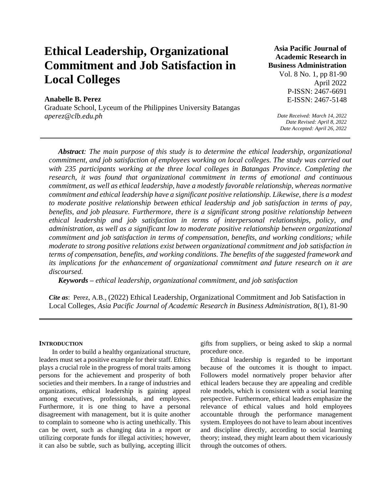# **Ethical Leadership, Organizational Commitment and Job Satisfaction in Local Colleges**

# **Anabelle B. Perez**

Graduate School, Lyceum of the Philippines University Batangas *aperez@clb.edu.ph*

# **Asia Pacific Journal of Academic Research in Business Administration**

Vol. 8 No. 1, pp 81-90 April 2022 P-ISSN: 2467-6691 E-ISSN: 2467-5148

*Date Received: March 14, 2022 Date Revised: April 8, 2022 Date Accepted: April 26, 2022*

*Abstract: The main purpose of this study is to determine the ethical leadership, organizational commitment, and job satisfaction of employees working on local colleges. The study was carried out with 235 participants working at the three local colleges in Batangas Province. Completing the research, it was found that organizational commitment in terms of emotional and continuous commitment, as well as ethical leadership, have a modestly favorable relationship, whereas normative commitment and ethical leadership have a significant positive relationship. Likewise, there is a modest to moderate positive relationship between ethical leadership and job satisfaction in terms of pay, benefits, and job pleasure. Furthermore, there is a significant strong positive relationship between ethical leadership and job satisfaction in terms of interpersonal relationships, policy, and administration, as well as a significant low to moderate positive relationship between organizational commitment and job satisfaction in terms of compensation, benefits, and working conditions; while moderate to strong positive relations exist between organizational commitment and job satisfaction in terms of compensation, benefits, and working conditions. The benefits of the suggested framework and*  its implications for the enhancement of organizational commitment and future research on it are *discoursed.*

*Keywords – ethical leadership, organizational commitment, and job satisfaction*

*Cite as*: Perez, A.B., (2022) Ethical Leadership, Organizational Commitment and Job Satisfaction in Local Colleges, *Asia Pacific Journal of Academic Research in Business Administration,* 8(1), 81-90

#### **INTRODUCTION**

 In order to build a healthy organizational structure, leaders must set a positive example for their staff. Ethics plays a crucial role in the progress of moral traits among persons for the achievement and prosperity of both societies and their members. In a range of industries and organizations, ethical leadership is gaining appeal among executives, professionals, and employees. Furthermore, it is one thing to have a personal disagreement with management, but it is quite another to complain to someone who is acting unethically. This can be overt, such as changing data in a report or utilizing corporate funds for illegal activities; however, it can also be subtle, such as bullying, accepting illicit gifts from suppliers, or being asked to skip a normal procedure once.

Ethical leadership is regarded to be important because of the outcomes it is thought to impact. Followers model normatively proper behavior after ethical leaders because they are appealing and credible role models, which is consistent with a social learning perspective. Furthermore, ethical leaders emphasize the relevance of ethical values and hold employees accountable through the performance management system. Employees do not have to learn about incentives and discipline directly, according to social learning theory; instead, they might learn about them vicariously through the outcomes of others.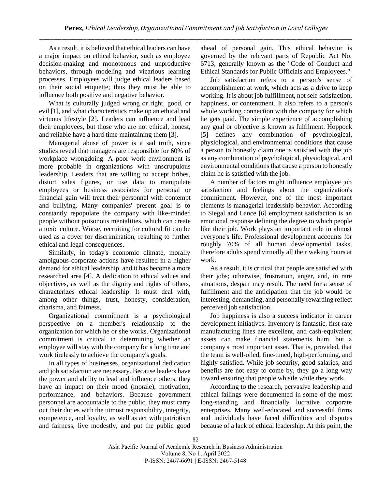As a result, it is believed that ethical leaders can have a major impact on ethical behavior, such as employee decision-making and monotonous and unproductive behaviors, through modeling and vicarious learning processes. Employees will judge ethical leaders based on their social etiquette; thus they must be able to influence both positive and negative behavior.

What is culturally judged wrong or right, good, or evil [1], and what characteristics make up an ethical and virtuous lifestyle [2]. Leaders can influence and lead their employees, but those who are not ethical, honest, and reliable have a hard time maintaining them [3].

Managerial abuse of power is a sad truth, since studies reveal that managers are responsible for 60% of workplace wrongdoing. A poor work environment is more probable in organizations with unscrupulous leadership. Leaders that are willing to accept bribes, distort sales figures, or use data to manipulate employees or business associates for personal or financial gain will treat their personnel with contempt and bullying. Many companies' present goal is to constantly repopulate the company with like-minded people without poisonous mentalities, which can create a toxic culture. Worse, recruiting for cultural fit can be used as a cover for discrimination, resulting to further ethical and legal consequences.

Similarly, in today's economic climate, morally ambiguous corporate actions have resulted in a higher demand for ethical leadership, and it has become a more researched area [4]. A dedication to ethical values and objectives, as well as the dignity and rights of others, characterizes ethical leadership. It must deal with, among other things, trust, honesty, consideration, charisma, and fairness.

Organizational commitment is a psychological perspective on a member's relationship to the organization for which he or she works. Organizational commitment is critical in determining whether an employee will stay with the company for a long time and work tirelessly to achieve the company's goals.

In all types of businesses, organizational dedication and job satisfaction are necessary. Because leaders have the power and ability to lead and influence others, they have an impact on their mood (morale), motivation, performance, and behaviors. Because government personnel are accountable to the public, they must carry out their duties with the utmost responsibility, integrity, competence, and loyalty, as well as act with patriotism and fairness, live modestly, and put the public good

ahead of personal gain. This ethical behavior is governed by the relevant parts of Republic Act No. 6713, generally known as the "Code of Conduct and Ethical Standards for Public Officials and Employees."

Job satisfaction refers to a person's sense of accomplishment at work, which acts as a drive to keep working. It is about job fulfillment, not self-satisfaction, happiness, or contentment. It also refers to a person's whole working connection with the company for which he gets paid. The simple experience of accomplishing any goal or objective is known as fulfilment. Hoppock [5] defines any combination of psychological, physiological, and environmental conditions that cause a person to honestly claim one is satisfied with the job as any combination of psychological, physiological, and environmental conditions that cause a person to honestly claim he is satisfied with the job.

A number of factors might influence employee job satisfaction and feelings about the organization's commitment. However, one of the most important elements is managerial leadership behavior. According to Siegal and Lance [6] employment satisfaction is an emotional response defining the degree to which people like their job. Work plays an important role in almost everyone's life. Professional development accounts for roughly 70% of all human developmental tasks, therefore adults spend virtually all their waking hours at work.

As a result, it is critical that people are satisfied with their jobs; otherwise, frustration, anger, and, in rare situations, despair may result. The need for a sense of fulfillment and the anticipation that the job would be interesting, demanding, and personally rewarding reflect perceived job satisfaction.

Job happiness is also a success indicator in career development initiatives. Inventory is fantastic, first-rate manufacturing lines are excellent, and cash-equivalent assets can make financial statements hum, but a company's most important asset. That is, provided, that the team is well-oiled, fine-tuned, high-performing, and highly satisfied. While job security, good salaries, and benefits are not easy to come by, they go a long way toward ensuring that people whistle while they work.

According to the research, pervasive leadership and ethical failings were documented in some of the most long-standing and financially lucrative corporate enterprises. Many well-educated and successful firms and individuals have faced difficulties and disputes because of a lack of ethical leadership. At this point, the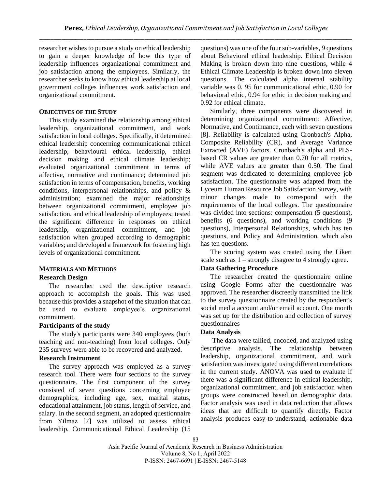researcher wishes to pursue a study on ethical leadership to gain a deeper knowledge of how this type of leadership influences organizational commitment and job satisfaction among the employees. Similarly, the researcher seeks to know how ethical leadership at local government colleges influences work satisfaction and organizational commitment.

#### **OBJECTIVES OF THE STUDY**

This study examined the relationship among ethical leadership, organizational commitment, and work satisfaction in local colleges. Specifically, it determined ethical leadership concerning communicational ethical leadership, behavioural ethical leadership, ethical decision making and ethical climate leadership; evaluated organizational commitment in terms of affective, normative and continuance; determined job satisfaction in terms of compensation, benefits, working conditions, interpersonal relationships, and policy & administration; examined the major relationships between organizational commitment, employee job satisfaction, and ethical leadership of employees; tested the significant difference in responses on ethical leadership, organizational commitment, and job satisfaction when grouped according to demographic variables; and developed a framework for fostering high levels of organizational commitment.

## **MATERIALS AND METHODS**

#### **Research Design**

The researcher used the descriptive research approach to accomplish the goals. This was used because this provides a snapshot of the situation that can be used to evaluate employee's organizational commitment.

#### **Participants of the study**

The study's participants were 340 employees (both teaching and non-teaching) from local colleges. Only 235 surveys were able to be recovered and analyzed.

## **Research Instrument**

The survey approach was employed as a survey research tool. There were four sections to the survey questionnaire. The first component of the survey consisted of seven questions concerning employee demographics, including age, sex, marital status, educational attainment, job status, length of service, and salary. In the second segment, an adopted questionnaire from Yilmaz [7] was utilized to assess ethical leadership. Communicational Ethical Leadership (15 questions) was one of the four sub-variables, 9 questions about Behavioral ethical leadership. Ethical Decision Making is broken down into nine questions, while 4 Ethical Climate Leadership is broken down into eleven questions. The calculated alpha internal stability variable was 0. 95 for communicational ethic, 0.90 for behavioral ethic, 0.94 for ethic in decision making and 0.92 for ethical climate.

Similarly, three components were discovered in determining organizational commitment: Affective, Normative, and Continuance, each with seven questions [8]. Reliability is calculated using Cronbach's Alpha, Composite Reliability (CR), and Average Variance Extracted (AVE) factors. Cronbach's alpha and PLSbased CR values are greater than 0.70 for all metrics, while AVE values are greater than 0.50. The final segment was dedicated to determining employee job satisfaction. The questionnaire was adapted from the Lyceum Human Resource Job Satisfaction Survey, with minor changes made to correspond with the requirements of the local colleges. The questionnaire was divided into sections: compensation (5 questions), benefits (6 questions), and working conditions (9 questions), Interpersonal Relationships, which has ten questions, and Policy and Administration, which also has ten questions.

The scoring system was created using the Likert scale such as 1 – strongly disagree to 4 strongly agree.

# **Data Gathering Procedure**

The researcher created the questionnaire online using Google Forms after the questionnaire was approved. The researcher discreetly transmitted the link to the survey questionnaire created by the respondent's social media account and/or email account. One month was set up for the distribution and collection of survey questionnaires

#### **Data Analysis**

 The data were tallied, encoded, and analyzed using descriptive analysis. The relationship between leadership, organizational commitment, and work satisfaction was investigated using different correlations in the current study. ANOVA was used to evaluate if there was a significant difference in ethical leadership, organizational commitment, and job satisfaction when groups were constructed based on demographic data. Factor analysis was used in data reduction that allows ideas that are difficult to quantify directly. Factor analysis produces easy-to-understand, actionable data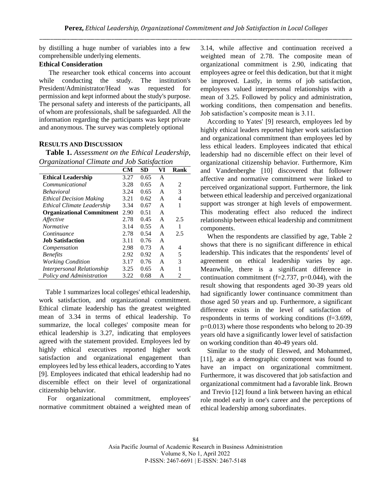by distilling a huge number of variables into a few comprehensible underlying elements.

# **Ethical Consideration**

The researcher took ethical concerns into account while conducting the study. The institution's President/Administrator/Head was requested for permission and kept informed about the study's purpose. The personal safety and interests of the participants, all of whom are professionals, shall be safeguarded. All the information regarding the participants was kept private and anonymous. The survey was completely optional

#### **RESULTS AND DISCUSSION**

**Table 1.** *Assessment on the Ethical Leadership, Organizational Climate and Job Satisfaction* 

|                                  | CМ   | SD   | VI | Rank |
|----------------------------------|------|------|----|------|
| <b>Ethical Leadership</b>        | 3.27 | 0.65 | A  |      |
| Communicational                  | 3.28 | 0.65 | A  | 2    |
| <b>Behavioral</b>                | 3.24 | 0.65 | A  | 3    |
| <b>Ethical Decision Making</b>   | 3.21 | 0.62 | A  | 4    |
| Ethical Climate Leadership       | 3.34 | 0.67 | A  | 1    |
| <b>Organizational Commitment</b> | 2.90 | 0.51 | A  |      |
| Affective                        | 2.78 | 0.45 | A  | 2.5  |
| <i>Normative</i>                 | 3.14 | 0.55 | A  | 1    |
| Continuance                      | 2.78 | 0.54 | A  | 2.5  |
| <b>Job Satisfaction</b>          | 3.11 | 0.76 | A  |      |
| Compensation                     | 2.98 | 0.73 | A  | 4    |
| <b>Benefits</b>                  | 2.92 | 0.92 | A  | 5    |
| <b>Working Condition</b>         | 3.17 | 0.76 | A  | 3    |
| Interpersonal Relationship       | 3.25 | 0.65 | A  | 1    |
| Policy and Administration        | 3.22 | 0.68 | A  | 2    |

Table 1 summarizes local colleges' ethical leadership, work satisfaction, and organizational commitment. Ethical climate leadership has the greatest weighted mean of 3.34 in terms of ethical leadership. To summarize, the local colleges' composite mean for ethical leadership is 3.27, indicating that employees agreed with the statement provided. Employees led by highly ethical executives reported higher work satisfaction and organizational engagement than employees led by less ethical leaders, according to Yates [9]. Employees indicated that ethical leadership had no discernible effect on their level of organizational citizenship behavior.

For organizational commitment, employees' normative commitment obtained a weighted mean of 3.14, while affective and continuation received a weighted mean of 2.78. The composite mean of organizational commitment is 2.90, indicating that employees agree or feel this dedication, but that it might be improved. Lastly, in terms of job satisfaction, employees valued interpersonal relationships with a mean of 3.25. Followed by policy and administration, working conditions, then compensation and benefits. Job satisfaction's composite mean is 3.11.

According to Yates' [9] research, employees led by highly ethical leaders reported higher work satisfaction and organizational commitment than employees led by less ethical leaders. Employees indicated that ethical leadership had no discernible effect on their level of organizational citizenship behavior. Furthermore, Kim and Vandenberghe [10] discovered that follower affective and normative commitment were linked to perceived organizational support. Furthermore, the link between ethical leadership and perceived organizational support was stronger at high levels of empowerment. This moderating effect also reduced the indirect relationship between ethical leadership and commitment components.

When the respondents are classified by age, Table 2 shows that there is no significant difference in ethical leadership. This indicates that the respondents' level of agreement on ethical leadership varies by age. Meanwhile, there is a significant difference in continuation commitment (f=2.737, p=0.044), with the result showing that respondents aged 30-39 years old had significantly lower continuance commitment than those aged 50 years and up. Furthermore, a significant difference exists in the level of satisfaction of respondents in terms of working conditions (f=3.699, p=0.013) where those respondents who belong to 20-39 years old have a significantly lower level of satisfaction on working condition than 40-49 years old.

Similar to the study of Eleswed, and Mohammed, [11], age as a demographic component was found to have an impact on organizational commitment. Furthermore, it was discovered that job satisfaction and organizational commitment had a favorable link. Brown and Trevio [12] found a link between having an ethical role model early in one's career and the perceptions of ethical leadership among subordinates.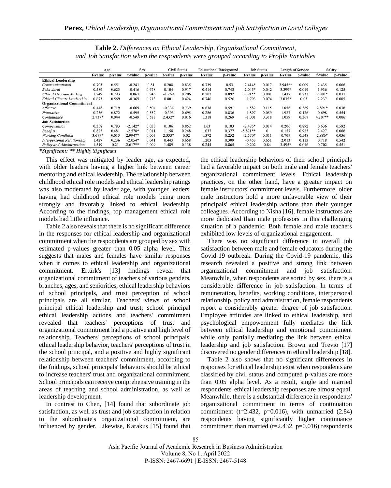|                                   |          | Age     |            | Sex     |          | Civil Status |         | <b>Educational Background</b> |            | <b>Job Status</b> |           | Length of Service |           | Salary  |
|-----------------------------------|----------|---------|------------|---------|----------|--------------|---------|-------------------------------|------------|-------------------|-----------|-------------------|-----------|---------|
|                                   | f-value  | p-value | t-value    | p-value | t-value  | p-value      | f-value | p-value                       | t-value    | p-value           | f-value   | p-value           | f-value   | p-value |
| <b>Ethical Leadership</b>         |          |         |            |         |          |              |         |                               |            |                   |           |                   |           |         |
| Communicational                   | 0.703    | 0.551   | $-0.241$   | 0.81    | 0.208    | 0.835        | 0.739   | 0.53                          | $2.414*$   | 0.017             | $3.945**$ | 0.009             | 2.435     | 0.066   |
| <b>Behavioral</b>                 | 0.589    | 0.623   | $-0.416$   | 0.678   | 0.104    | 0.917        | 0.414   | 0.743                         | $2.045*$   | 0.042             | 3.399*    | 0.019             | 1.936     | 0.125   |
| <b>Ethical Decision Making</b>    | 1.249    | 0.293   | 0.067      | 0.946   | $-1.269$ | 0.206        | 0.207   | 0.892                         | $3.391**$  | 0.001             | 1.437     | 0.233             | 2.881*    | 0.037   |
| <b>Ethical Climate Leadership</b> | 0.673    | 0.569   | $-0.369$   | 0.713   | 0.801    | 0.424        | 0.746   | 0.526                         | 1.793      | 0.074             | $3.035*$  | 0.03              | 2.237     | 0.085   |
| <b>Organizational Commitment</b>  |          |         |            |         |          |              |         |                               |            |                   |           |                   |           |         |
| Affective                         | 0.448    | 0.719   | $-0.669$   | 0.504   | $-0.334$ | 0.739        | 0.638   | 0.591                         | 1.582      | 0.115             | 1.056     | 0.369             | 2.891*    | 0.036   |
| Normative                         | 0.236    | 0.872   | $-0.595$   | 0.552   | $-0.393$ | 0.695        | 0.286   | 0.836                         | 1.897      | 0.059             | 1.927     | 0.126             | 0.698     | 0.554   |
| Continuance                       | $2.737*$ | 0.044   | $-0.549$   | 0.583   | $2.432*$ | 0.016        | 1.318   | 0.269                         | $-1.001$   | 0.318             | 1.059     | 0.367             | $4.207**$ | 0.006   |
| <b>Job Satisfaction</b>           |          |         |            |         |          |              |         |                               |            |                   |           |                   |           |         |
| Compensation                      | 0.358    | 0.783   | $-2.142*$  | 0.033   | 0.186    | 0.852        | 1.63    | 0.183                         | $-2.475*$  | 0.014             | 0.206     | 0.892             | 0.636     | 0.592   |
| <b>Benefits</b>                   | 0.825    | 0.481   | $-2.578*$  | 0.011   | 1.158    | 0.248        | 1.037   | 0.377                         | $-5.821**$ | $\Omega$          | 0.157     | 0.925             | 2.427     | 0.066   |
| <b>Working Condition</b>          | 3.699*   | 0.013   | $-2.994**$ | 0.003   | $2.333*$ | 0.02         | 1.372   | 0.252                         | $-2.570*$  | 0.011             | 0.709     | 0.548             | 2.886*    | 0.036   |
| <b>Interpersonal Relationship</b> | 1.427    | 0.236   | $-2.054*$  | 0.041   | 0.443    | 0.658        | 1.203   | 0.309                         | $-0.453$   | 0.651             | 2.013     | 0.113             | 0.718     | 0.542   |
| Policy and Administration         | 1.519    | 0.21    | $-2.617**$ | 0.009   | 1.489    | 0.138        | 0.244   | 0.865                         | $-0.202$   | 0.84              | 3.495*    | 0.016             | 0.702     | 0.551   |

**Table 2.** *Differences on Ethical Leadership, Organizational Commitment, and Job Satisfaction when the respondents were grouped according to Profile Variables*

\*Significant; \*\* Highly Significant

This effect was mitigated by leader age, as expected, with older leaders having a higher link between career mentoring and ethical leadership. The relationship between childhood ethical role models and ethical leadership ratings was also moderated by leader age, with younger leaders' having had childhood ethical role models being more strongly and favorably linked to ethical leadership. According to the findings, top management ethical role models had little influence.

Table 2 also reveals that there is no significant difference in the responses for ethical leadership and organizational commitment when the respondents are grouped by sex with estimated p-values greater than 0.05 alpha level. This suggests that males and females have similar responses when it comes to ethical leadership and organizational commitment. Ertürk's [13] findings reveal that organizational commitment of teachers of various genders, branches, ages, and seniorities, ethical leadership behaviors of school principals, and trust perception of school principals are all similar. Teachers' views of school principal ethical leadership and trust; school principal ethical leadership actions and teachers' commitment revealed that teachers' perceptions of trust and organizational commitment had a positive and high level of relationship. Teachers' perceptions of school principals' ethical leadership behavior, teachers' perceptions of trust in the school principal, and a positive and highly significant relationship between teachers' commitment, according to the findings, school principals' behaviors should be ethical to increase teachers' trust and organizational commitment. School principals can receive comprehensive training in the areas of teaching and school administration, as well as leadership development.

In contrast to Chen, [14] found that subordinate job satisfaction, as well as trust and job satisfaction in relation to the subordinate's organizational commitment, are influenced by gender. Likewise, Karakus [15] found that

the ethical leadership behaviors of their school principals had a favorable impact on both male and female teachers' organizational commitment levels. Ethical leadership practices, on the other hand, have a greater impact on female instructors' commitment levels. Furthermore, older male instructors hold a more unfavorable view of their principals' ethical leadership actions than their younger colleagues. According to Nisha [16], female instructors are more dedicated than male professors in this challenging situation of a pandemic. Both female and male teachers exhibited low levels of organizational engagement.

There was no significant difference in overall job satisfaction between male and female educators during the Covid-19 outbreak. During the Covid-19 pandemic, this research revealed a positive and strong link between organizational commitment and job satisfaction. Meanwhile, when respondents are sorted by sex, there is a considerable difference in job satisfaction. In terms of remuneration, benefits, working conditions, interpersonal relationship, policy and administration, female respondents report a considerably greater degree of job satisfaction. Employee attitudes are linked to ethical leadership, and psychological empowerment fully mediates the link between ethical leadership and emotional commitment while only partially mediating the link between ethical leadership and job satisfaction. Brown and Trevio [17] discovered no gender differences in ethical leadership [18].

Table 2 also shows that no significant differences in responses for ethical leadership exist when respondents are classified by civil status and computed p-values are more than 0.05 alpha level. As a result, single and married respondents' ethical leadership responses are almost equal. Meanwhile, there is a substantial difference in respondents' organizational commitment in terms of continuation commitment ( $t=2.432$ ,  $p=0.016$ ), with unmarried (2.84) respondents having significantly higher continuance commitment than married ( $t=2.432$ ,  $p=0.016$ ) respondents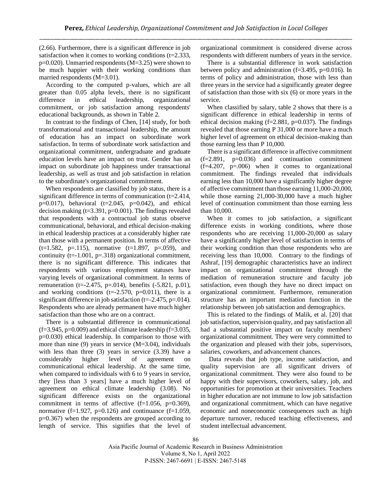(2.66). Furthermore, there is a significant difference in job satisfaction when it comes to working conditions (t=2.333, p=0.020). Unmarried respondents (M=3.25) were shown to be much happier with their working conditions than married respondents (M=3.01).

According to the computed p-values, which are all greater than 0.05 alpha levels, there is no significant difference in ethical leadership, organizational commitment, or job satisfaction among respondents' educational backgrounds, as shown in Table 2.

In contrast to the findings of Chen, [14] study, for both transformational and transactional leadership, the amount of education has an impact on subordinate work satisfaction. In terms of subordinate work satisfaction and organizational commitment, undergraduate and graduate education levels have an impact on trust. Gender has an impact on subordinate job happiness under transactional leadership, as well as trust and job satisfaction in relation to the subordinate's organizational commitment.

When respondents are classified by job status, there is a significant difference in terms of communication (t=2.414,  $p=0.017$ ), behavioral (t=2.045,  $p=0.042$ ), and ethical decision making  $(t=3.391, p=0.001)$ . The findings revealed that respondents with a contractual job status observe communicational, behavioral, and ethical decision-making in ethical leadership practices at a considerably higher rate than those with a permanent position. In terms of affective  $(t=1.582, p=.115)$ , normative  $(t=1.897, p=.059)$ , and continuity ( $t=1.001$ ,  $p=.318$ ) organizational commitment, there is no significant difference. This indicates that respondents with various employment statuses have varying levels of organizational commitment. In terms of remuneration (t= $-2.475$ , p= $.014$ ), benefits  $(-5.821, p.01)$ , and working conditions ( $t = -2.570$ ,  $p = 0.011$ ), there is a significant difference in job satisfaction (t=-2.475, p=.014). Respondents who are already permanent have much higher satisfaction than those who are on a contract.

There is a substantial difference in communicational  $(f=3.945, p=0.009)$  and ethical climate leadership  $(f=3.035, p=0.009)$ p=0.030) ethical leadership. In comparison to those with more than nine (9) years in service (M=3.04), individuals with less than three (3) years in service (3.39) have a considerably higher level of agreement communicational ethical leadership. At the same time, when compared to individuals with 6 to 9 years in service, they [less than 3 years] have a much higher level of agreement on ethical climate leadership (3.08). No significant difference exists on the organizational commitment in terms of affective  $(f=1.056, p=0.369)$ , normative  $(f=1.927, p=0.126)$  and continuance  $(f=1.059,$ p=0.367) when the respondents are grouped according to length of service. This signifies that the level of organizational commitment is considered diverse across respondents with different numbers of years in the service.

There is a substantial difference in work satisfaction between policy and administration (f=3.495, p=0.016). In terms of policy and administration, those with less than three years in the service had a significantly greater degree of satisfaction than those with six (6) or more years in the service.

When classified by salary, table 2 shows that there is a significant difference in ethical leadership in terms of ethical decision making  $(f=2.881, p=0.037)$ . The findings revealed that those earning P 31,000 or more have a much higher level of agreement on ethical decision-making than those earning less than P 10,000.

There is a significant difference in affective commitment  $(f=2.891, p=0.036)$  and continuation commitment  $(f=4.207, p=.006)$  when it comes to organizational commitment. The findings revealed that individuals earning less than 10,000 have a significantly higher degree of affective commitment than those earning 11,000-20,000, while those earning 21,000-30,000 have a much higher level of continuation commitment than those earning less than 10,000.

When it comes to job satisfaction, a significant difference exists in working conditions, where those respondents who are receiving 11,000-20,000 as salary have a significantly higher level of satisfaction in terms of their working condition than those respondents who are receiving less than 10,000. Contrary to the findings of Ashraf, [19] demographic characteristics have an indirect impact on organizational commitment through the mediation of remuneration structure and faculty job satisfaction, even though they have no direct impact on organizational commitment. Furthermore, remuneration structure has an important mediation function in the relationship between job satisfaction and demographics.

This is related to the findings of Malik, et al. [20] that job satisfaction, supervision quality, and pay satisfaction all had a substantial positive impact on faculty members' organizational commitment. They were very committed to the organization and pleased with their jobs, supervisors, salaries, coworkers, and advancement chances.

Data reveals that job type, income satisfaction, and quality supervision are all significant drivers of organizational commitment. They were also found to be happy with their supervisors, coworkers, salary, job, and opportunities for promotion at their universities. Teachers in higher education are not immune to low job satisfaction and organizational commitment, which can have negative economic and noneconomic consequences such as high departure turnover, reduced teaching effectiveness, and student intellectual advancement.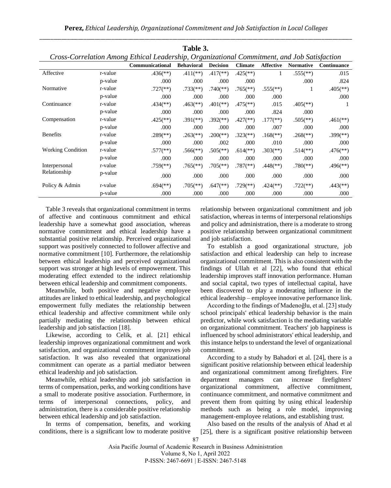|  | Perez, Ethical Leadership, Organizational Commitment and Job Satisfaction in Local Colleges |  |  |
|--|---------------------------------------------------------------------------------------------|--|--|
|  |                                                                                             |  |  |

| Cross-Correlation Among Ethical Leadership, Organizational Commitment, and Job Satisfaction |         |                          |                          |                          |                          |                          |                          |                          |
|---------------------------------------------------------------------------------------------|---------|--------------------------|--------------------------|--------------------------|--------------------------|--------------------------|--------------------------|--------------------------|
|                                                                                             |         | Communicational          | <b>Behavioral</b>        | <b>Decision</b>          | <b>Climate</b>           | <b>Affective</b>         | <b>Normative</b>         | <b>Continuance</b>       |
| Affective                                                                                   | r-value | $.436$ <sup>(**)</sup> ) | $.411$ (**)              | $.417$ <sup>**</sup> )   | $.425$ <sup>**</sup> )   |                          | $.555$ <sup>(**)</sup>   | .015                     |
|                                                                                             | p-value | .000                     | .000                     | .000                     | .000                     |                          | .000                     | .824                     |
| Normative                                                                                   | r-value | $.727$ <sup>(**)</sup> ) | $.733$ <sup>(**)</sup> ) | $.740$ <sup>(**)</sup> ) | $.765$ <sup>(**)</sup> ) | $.555$ <sup>(**)</sup>   |                          | $.405$ <sup>**</sup> )   |
|                                                                                             | p-value | .000                     | .000                     | .000                     | .000                     | .000                     |                          | .000                     |
| Continuance                                                                                 | r-value | $.434$ <sup>(**)</sup> ) | $.463$ <sup>**</sup> )   | $.401$ <sup>(**)</sup> ) | $.475$ <sup>**</sup> )   | .015                     | $.405$ <sup>(**)</sup> ) | $\mathbf{I}$             |
|                                                                                             | p-value | .000                     | .000                     | .000                     | .000                     | .824                     | .000                     |                          |
| Compensation                                                                                | r-value | $.425$ <sup>**</sup> )   | $.391$ <sup>(**)</sup> ) | $.392$ <sup>(**)</sup> ) | $.427$ <sup>(**)</sup> ) | $.177$ <sup>(**)</sup> ) | $.505$ <sup>(**)</sup> ) | $.461$ <sup>**</sup> )   |
|                                                                                             | p-value | .000                     | .000                     | .000                     | .000                     | .007                     | .000                     | .000                     |
| <b>Benefits</b>                                                                             | r-value | $.289$ <sup>(**)</sup> ) | $.263$ <sup>(**)</sup> ) | $.200$ (**)              | $.323$ <sup>(**)</sup> ) | $.168$ <sup>(**)</sup> ) | $.268$ <sup>(**)</sup> ) | $.399$ <sup>(**)</sup> ) |
|                                                                                             | p-value | .000                     | .000                     | .002                     | .000.                    | .010                     | .000                     | .000                     |
| <b>Working Condition</b>                                                                    | r-value | $.577$ (**)              | $.566$ <sup>(**)</sup>   | $.505$ <sup>(**)</sup>   | $.614$ <sup>(**)</sup> ) | $.303$ <sup>(**)</sup> ) | $.514$ <sup>(**)</sup> ) | $.476$ <sup>**</sup> )   |
|                                                                                             | p-value | .000                     | .000                     | .000                     | .000                     | .000                     | .000                     | .000                     |
| Interpersonal                                                                               | r-value | $.759$ <sup>(**)</sup> ) | $.765$ <sup>**</sup> )   | $.705$ <sup>**</sup> )   | $.787$ <sup>(**)</sup> ) | $.448$ <sup>(**)</sup> ) | $.780$ <sup>(**)</sup> ) | $.496$ <sup>(**)</sup> ) |
| Relationship                                                                                | p-value | .000                     | .000                     | .000                     | .000                     | .000                     | .000                     | .000                     |
| Policy & Admin                                                                              | r-value | $.694$ <sup>(**)</sup> ) | $.705$ <sup>**</sup> )   | $.647$ <sup>(**)</sup> ) | $.729$ <sup>(**)</sup> ) | $.424$ <sup>(**)</sup> ) | $.722$ (**)              | $.443$ <sup>**</sup> )   |
|                                                                                             | p-value | .000                     | .000                     | .000                     | .000                     | .000                     | .000                     | .000                     |

**Table 3.**

Table 3 reveals that organizational commitment in terms of affective and continuous commitment and ethical leadership have a somewhat good association, whereas normative commitment and ethical leadership have a substantial positive relationship. Perceived organizational support was positively connected to follower affective and normative commitment [10]. Furthermore, the relationship between ethical leadership and perceived organizational support was stronger at high levels of empowerment. This moderating effect extended to the indirect relationship between ethical leadership and commitment components.

Meanwhile, both positive and negative employee attitudes are linked to ethical leadership, and psychological empowerment fully mediates the relationship between ethical leadership and affective commitment while only partially mediating the relationship between ethical leadership and job satisfaction [18].

Likewise, according to Celik, et al. [21] ethical leadership improves organizational commitment and work satisfaction, and organizational commitment improves job satisfaction. It was also revealed that organizational commitment can operate as a partial mediator between ethical leadership and job satisfaction.

Meanwhile, ethical leadership and job satisfaction in terms of compensation, perks, and working conditions have a small to moderate positive association. Furthermore, in terms of interpersonal connections, policy, and administration, there is a considerable positive relationship between ethical leadership and job satisfaction.

In terms of compensation, benefits, and working conditions, there is a significant low to moderate positive relationship between organizational commitment and job satisfaction, whereas in terms of interpersonal relationships and policy and administration, there is a moderate to strong positive relationship between organizational commitment and job satisfaction.

To establish a good organizational structure, job satisfaction and ethical leadership can help to increase organizational commitment. This is also consistent with the findings of Ullah et al [22], who found that ethical leadership improves staff innovation performance. Human and social capital, two types of intellectual capital, have been discovered to play a moderating influence in the ethical leadership – employee innovative performance link.

According to the findings of Madenoğlu, et al. [23] study school principals' ethical leadership behavior is the main predictor, while work satisfaction is the mediating variable on organizational commitment. Teachers' job happiness is influenced by school administrators' ethical leadership, and this instance helps to understand the level of organizational commitment.

According to a study by Bahadori et al. [24], there is a significant positive relationship between ethical leadership and organizational commitment among firefighters. Fire department managers can increase firefighters' organizational commitment, affective commitment, continuance commitment, and normative commitment and prevent them from quitting by using ethical leadership methods such as being a role model, improving management-employee relations, and establishing trust.

Also based on the results of the analysis of Ahad et al [25], there is a significant positive relationship between

Asia Pacific Journal of Academic Research in Business Administration Volume 8, No 1, April 2022 P-ISSN: 2467-6691 | E-ISSN: 2467-5148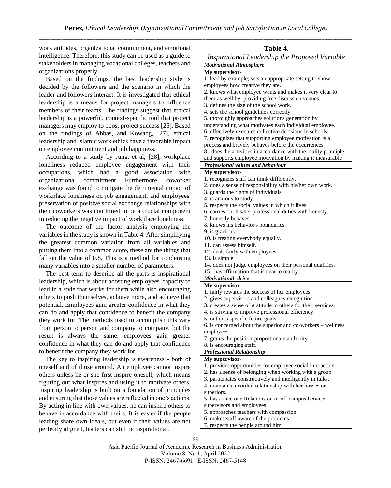work attitudes, organizational commitment, and emotional intelligence. Therefore, this study can be used as a guide to stakeholders in managing vocational colleges, teachers and organizations properly.

Based on the findings, the best leadership style is decided by the followers and the scenario in which the leader and followers interact. It is investigated that ethical leadership is a means for project managers to influence members of their teams. The findings suggest that ethical leadership is a powerful, context-specific tool that project managers may employ to boost project success [26]. Based on the findings of Abbas, and Kowang, [27], ethical leadership and Islamic work ethics have a favorable impact on employee commitment and job happiness.

According to a study by Jung, et al, [28], workplace loneliness reduced employee engagement with their occupations, which had a good association with organizational commitment. Furthermore, coworker exchange was found to mitigate the detrimental impact of workplace loneliness on job engagement, and employees' preservation of positive social exchange relationships with their coworkers was confirmed to be a crucial component in reducing the negative impact of workplace loneliness.

The outcome of the factor analysis employing the variables in the study is shown in Table 4. After simplifying the greatest common variation from all variables and putting them into a common score, these are the things that fall on the value of 0.8. This is a method for condensing many variables into a smaller number of parameters.

The best term to describe all the parts is inspirational leadership, which is about boosting employees' capacity to lead in a style that works for them while also encouraging others to push themselves, achieve more, and achieve that potential. Employees gain greater confidence in what they can do and apply that confidence to benefit the company they work for. The methods used to accomplish this vary from person to person and company to company, but the result is always the same: employees gain greater confidence in what they can do and apply that confidence to benefit the company they work for.

The key to inspiring leadership is awareness - both of oneself and of those around. An employee cannot inspire others unless he or she first inspire oneself, which means figuring out what inspires and using it to motivate others. Inspiring leadership is built on a foundation of principles and ensuring that those values are reflected in one's actions. By acting in line with own values, he can inspire others to behave in accordance with theirs. It is easier if the people leading share own ideals, but even if their values are not perfectly aligned, leaders can still be inspirational.

| Table 4. |  |
|----------|--|
|----------|--|

|  | Inspirational Leadership the Proposed Variable |  |  |  |
|--|------------------------------------------------|--|--|--|
|--|------------------------------------------------|--|--|--|

#### *Motivational Atmosphere* **My supervisor-**

1. lead by example; sets an appropriate setting to show employees how creative they are.

2. knows what employee wants and makes it very clear to

- them as well by providing free discussion venues.
- 3. defines the size of the school work.
- 4. sets the school guidelines correctly
- 5. thoroughly approaches solutions generation by
- understanding what motivates each individual employee.
- 6. effectively executes collective decisions in schools.
- 7. recognizes that supporting employee motivation is a
- process and bravely behaves before the occurrences

8. does the activities in accordance with the reality principle

and supports employee motivation by making it measurable *Professional values and behaviour*

## **My supervisor-**

- 1. recognizes staff can think differently.
- 2. does a sense of responsibility with his/her own work.
- 3. guards the rights of individuals.
- 4. is anxious to study.
- 5. respects the social values in which it lives.
- 6. carries out his/her professional duties with honesty.
- 7. honestly behaves.
- 8. knows his behavior's boundaries.
- 9. is gracious.
- 10. is treating everybody equally.
- 11. can assess himself.
- 12. deals fairly with employees.
- 13. is simple.
- 14. does not judge employees on their personal qualities.
- 15. has affirmation that is near to reality.

#### *Motivational drive*

#### **My supervisor-**

- 1. fairly rewards the success of her employees.
- 2. gives supervisors and colleagues recognition
- 3. creates a sense of gratitude to others for their services.
- 4. is striving to improve professional efficiency.
- 5. outlines specific future goals.
- 6. is concerned about the superior and co-workers wellness employees
- 7. grants the position-proportionate authority
- 8. is encouraging staff.

## *Professional Relationship*

#### **My supervisor-**

- 1. provides opportunities for employee social interaction
- 2. has a sense of belonging when working with a group
- 3. participates constructively and intelligently in talks.
- 4. maintains a cordial relationship with her bosses or superiors.
	-
- 5. has a nice one Relations on or off campus between supervisors and employees
- 5. approaches teachers with compassion
- 6. makes staff aware of the problems
- 7. respects the people around him.

Asia Pacific Journal of Academic Research in Business Administration Volume 8, No 1, April 2022 P-ISSN: 2467-6691 | E-ISSN: 2467-5148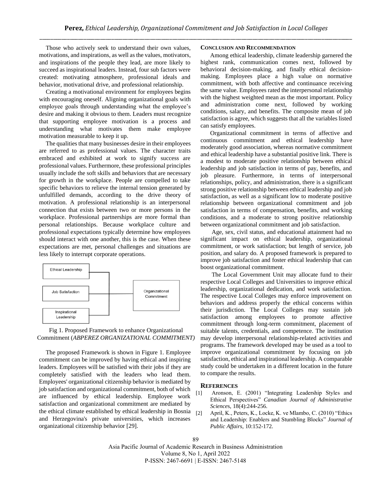Those who actively seek to understand their own values, motivations, and inspirations, as well as the values, motivators, and inspirations of the people they lead, are more likely to succeed as inspirational leaders. Instead, four sub factors were created: motivating atmosphere, professional ideals and behavior, motivational drive, and professional relationship.

Creating a motivational environment for employees begins with encouraging oneself. Aligning organizational goals with employee goals through understanding what the employee's desire and making it obvious to them. Leaders must recognize that supporting employee motivation is a process and understanding what motivates them make employee motivation measurable to keep it up.

The qualities that many businesses desire in their employees are referred to as professional values. The character traits embraced and exhibited at work to signify success are professional values. Furthermore, these professional principles usually include the soft skills and behaviors that are necessary for growth in the workplace. People are compelled to take specific behaviors to relieve the internal tension generated by unfulfilled demands, according to the drive theory of motivation. A professional relationship is an interpersonal connection that exists between two or more persons in the workplace. Professional partnerships are more formal than personal relationships. Because workplace culture and professional expectations typically determine how employees should interact with one another, this is the case. When these expectations are met, personal challenges and situations are less likely to interrupt corporate operations.



#### Fig 1. Proposed Framework to enhance Organizational Commitment (*ABPEREZ ORGANIZATIONAL COMMITMENT)*

The proposed Framework is shown in Figure 1. Employee commitment can be improved by having ethical and inspiring leaders. Employees will be satisfied with their jobs if they are completely satisfied with the leaders who lead them. Employees' organizational citizenship behavior is mediated by job satisfaction and organizational commitment, both of which are influenced by ethical leadership. Employee work satisfaction and organizational commitment are mediated by the ethical climate established by ethical leadership in Bosnia  $_{[2]}$ and Herzegovina's private universities, which increases organizational citizenship behavior [29].

#### **CONCLUSION AND RECOMMENDATION**

Among ethical leadership, climate leadership garnered the highest rank, communication comes next, followed by behavioral decision-making, and finally ethical decisionmaking. Employees place a high value on normative commitment, with both affective and continuance receiving the same value. Employees rated the interpersonal relationship with the highest weighted mean as the most important. Policy and administration come next, followed by working conditions, salary, and benefits. The composite mean of job satisfaction is agree, which suggests that all the variables listed can satisfy employees.

Organizational commitment in terms of affective and continuous commitment and ethical leadership have moderately good association, whereas normative commitment and ethical leadership have a substantial positive link. There is a modest to moderate positive relationship between ethical leadership and job satisfaction in terms of pay, benefits, and job pleasure. Furthermore, in terms of interpersonal relationships, policy, and administration, there is a significant strong positive relationship between ethical leadership and job satisfaction, as well as a significant low to moderate positive relationship between organizational commitment and job satisfaction in terms of compensation, benefits, and working conditions, and a moderate to strong positive relationship between organizational commitment and job satisfaction.

Age, sex, civil status, and educational attainment had no significant impact on ethical leadership, organizational commitment, or work satisfaction; but length of service, job position, and salary do. A proposed framework is prepared to improve job satisfaction and foster ethical leadership that can boost organizational commitment.

The Local Government Unit may allocate fund to their respective Local Colleges and Universities to improve ethical leadership, organizational dedication, and work satisfaction. The respective Local Colleges may enforce improvement on behaviors and address properly the ethical concerns within their jurisdiction. The Local Colleges may sustain job satisfaction among employees to promote affective commitment through long-term commitment, placement of suitable talents, credentials, and competence. The institution may develop interpersonal relationship-related activities and programs. The framework developed may be used as a tool to improve organizational commitment by focusing on job satisfaction, ethical and inspirational leadership. A comparable study could be undertaken in a different location in the future to compare the results.

#### **REFERENCES**

- [1] Aronson, E. (2001) "Integrating Leadership Styles and Ethical Perspectives" *Canadian Journal of Administrative Science*s, 18(4):244-256.
- [2] April, K., Peters, K., Locke, K. ve Mlambo, C. (2010) "Ethics and Leadership: Enablers and Stumbling Blocks" *Journal of Public Affairs*, 10:152-172.

Asia Pacific Journal of Academic Research in Business Administration Volume 8, No 1, April 2022 P-ISSN: 2467-6691 | E-ISSN: 2467-5148

89